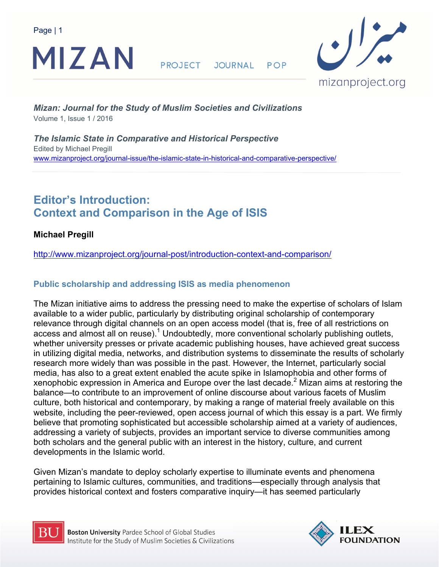

**PROJECT** JOURNAL POP



*Mizan: Journal for the Study of Muslim Societies and Civilizations* Volume 1, Issue 1 / 2016

*The Islamic State in Comparative and Historical Perspective*  Edited by Michael Pregill www.mizanproject.org/journal-issue/the-islamic-state-in-historical-and-comparative-perspective/

# **Editor's Introduction: Context and Comparison in the Age of ISIS**

**Michael Pregill** 

http://www.mizanproject.org/journal-post/introduction-context-and-comparison/

# **Public scholarship and addressing ISIS as media phenomenon**

The Mizan initiative aims to address the pressing need to make the expertise of scholars of Islam available to a wider public, particularly by distributing original scholarship of contemporary relevance through digital channels on an open access model (that is, free of all restrictions on access and almost all on reuse). $^1$  Undoubtedly, more conventional scholarly publishing outlets, whether university presses or private academic publishing houses, have achieved great success in utilizing digital media, networks, and distribution systems to disseminate the results of scholarly research more widely than was possible in the past. However, the Internet, particularly social media, has also to a great extent enabled the acute spike in Islamophobia and other forms of xenophobic expression in America and Europe over the last decade. $^2$  Mizan aims at restoring the balance—to contribute to an improvement of online discourse about various facets of Muslim culture, both historical and contemporary, by making a range of material freely available on this website, including the peer-reviewed, open access journal of which this essay is a part. We firmly believe that promoting sophisticated but accessible scholarship aimed at a variety of audiences, addressing a variety of subjects, provides an important service to diverse communities among both scholars and the general public with an interest in the history, culture, and current developments in the Islamic world.

Given Mizan's mandate to deploy scholarly expertise to illuminate events and phenomena pertaining to Islamic cultures, communities, and traditions—especially through analysis that provides historical context and fosters comparative inquiry—it has seemed particularly



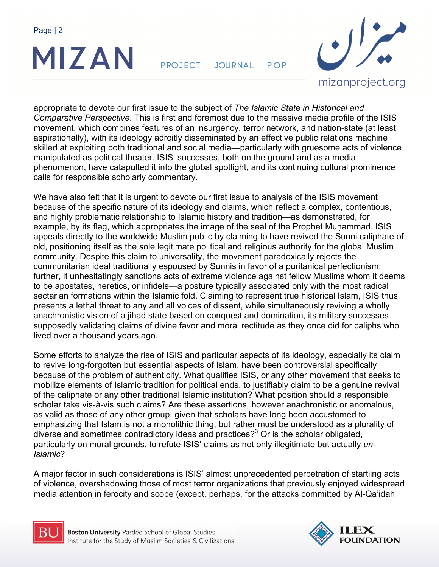

**PROJECT** JOURNAL POP



appropriate to devote our first issue to the subject of *The Islamic State in Historical and Comparative Perspective*. This is first and foremost due to the massive media profile of the ISIS movement, which combines features of an insurgency, terror network, and nation-state (at least aspirationally), with its ideology adroitly disseminated by an effective public relations machine skilled at exploiting both traditional and social media—particularly with gruesome acts of violence manipulated as political theater. ISIS' successes, both on the ground and as a media phenomenon, have catapulted it into the global spotlight, and its continuing cultural prominence calls for responsible scholarly commentary.

We have also felt that it is urgent to devote our first issue to analysis of the ISIS movement because of the specific nature of its ideology and claims, which reflect a complex, contentious, and highly problematic relationship to Islamic history and tradition—as demonstrated, for example, by its flag, which appropriates the image of the seal of the Prophet Muhammad. ISIS appeals directly to the worldwide Muslim public by claiming to have revived the Sunni caliphate of old, positioning itself as the sole legitimate political and religious authority for the global Muslim community. Despite this claim to universality, the movement paradoxically rejects the communitarian ideal traditionally espoused by Sunnis in favor of a puritanical perfectionism; further, it unhesitatingly sanctions acts of extreme violence against fellow Muslims whom it deems to be apostates, heretics, or infidels—a posture typically associated only with the most radical sectarian formations within the Islamic fold. Claiming to represent true historical Islam, ISIS thus presents a lethal threat to any and all voices of dissent, while simultaneously reviving a wholly anachronistic vision of a jihad state based on conquest and domination, its military successes supposedly validating claims of divine favor and moral rectitude as they once did for caliphs who lived over a thousand years ago.

Some efforts to analyze the rise of ISIS and particular aspects of its ideology, especially its claim to revive long-forgotten but essential aspects of Islam, have been controversial specifically because of the problem of authenticity. What qualifies ISIS, or any other movement that seeks to mobilize elements of Islamic tradition for political ends, to justifiably claim to be a genuine revival of the caliphate or any other traditional Islamic institution? What position should a responsible scholar take vis-à-vis such claims? Are these assertions, however anachronistic or anomalous, as valid as those of any other group, given that scholars have long been accustomed to emphasizing that Islam is not a monolithic thing, but rather must be understood as a plurality of diverse and sometimes contradictory ideas and practices?<sup>3</sup> Or is the scholar obligated, particularly on moral grounds, to refute ISIS' claims as not only illegitimate but actually *un-Islamic*?

A major factor in such considerations is ISIS' almost unprecedented perpetration of startling acts of violence, overshadowing those of most terror organizations that previously enjoyed widespread media attention in ferocity and scope (except, perhaps, for the attacks committed by Al-Qa'idah



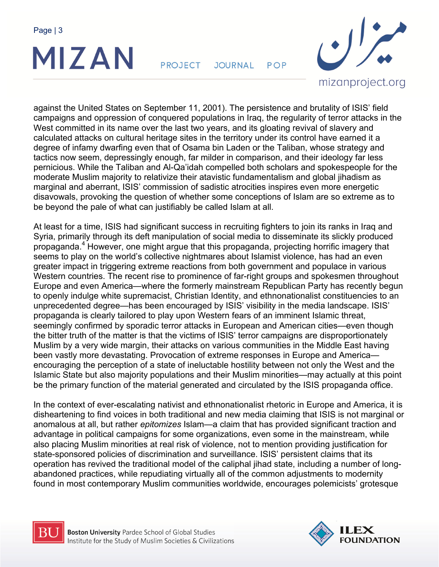

**PROJECT** JOURNAL POP



against the United States on September 11, 2001). The persistence and brutality of ISIS' field campaigns and oppression of conquered populations in Iraq, the regularity of terror attacks in the West committed in its name over the last two years, and its gloating revival of slavery and calculated attacks on cultural heritage sites in the territory under its control have earned it a degree of infamy dwarfing even that of Osama bin Laden or the Taliban, whose strategy and tactics now seem, depressingly enough, far milder in comparison, and their ideology far less pernicious. While the Taliban and Al-Qa'idah compelled both scholars and spokespeople for the moderate Muslim majority to relativize their atavistic fundamentalism and global jihadism as marginal and aberrant, ISIS' commission of sadistic atrocities inspires even more energetic disavowals, provoking the question of whether some conceptions of Islam are so extreme as to be beyond the pale of what can justifiably be called Islam at all.

At least for a time, ISIS had significant success in recruiting fighters to join its ranks in Iraq and Syria, primarily through its deft manipulation of social media to disseminate its slickly produced propaganda.<sup>4</sup> However, one might argue that this propaganda, projecting horrific imagery that seems to play on the world's collective nightmares about Islamist violence, has had an even greater impact in triggering extreme reactions from both government and populace in various Western countries. The recent rise to prominence of far-right groups and spokesmen throughout Europe and even America—where the formerly mainstream Republican Party has recently begun to openly indulge white supremacist, Christian Identity, and ethnonationalist constituencies to an unprecedented degree—has been encouraged by ISIS' visibility in the media landscape. ISIS' propaganda is clearly tailored to play upon Western fears of an imminent Islamic threat, seemingly confirmed by sporadic terror attacks in European and American cities—even though the bitter truth of the matter is that the victims of ISIS' terror campaigns are disproportionately Muslim by a very wide margin, their attacks on various communities in the Middle East having been vastly more devastating. Provocation of extreme responses in Europe and America encouraging the perception of a state of ineluctable hostility between not only the West and the Islamic State but also majority populations and their Muslim minorities—may actually at this point be the primary function of the material generated and circulated by the ISIS propaganda office.

In the context of ever-escalating nativist and ethnonationalist rhetoric in Europe and America, it is disheartening to find voices in both traditional and new media claiming that ISIS is not marginal or anomalous at all, but rather *epitomizes* Islam—a claim that has provided significant traction and advantage in political campaigns for some organizations, even some in the mainstream, while also placing Muslim minorities at real risk of violence, not to mention providing justification for state-sponsored policies of discrimination and surveillance. ISIS' persistent claims that its operation has revived the traditional model of the caliphal jihad state, including a number of longabandoned practices, while repudiating virtually all of the common adjustments to modernity found in most contemporary Muslim communities worldwide, encourages polemicists' grotesque



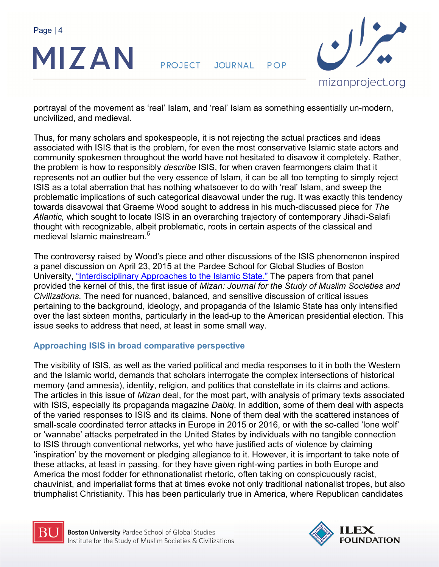

**PROJECT** JOURNAL POP



portrayal of the movement as 'real' Islam, and 'real' Islam as something essentially un-modern, uncivilized, and medieval.

Thus, for many scholars and spokespeople, it is not rejecting the actual practices and ideas associated with ISIS that is the problem, for even the most conservative Islamic state actors and community spokesmen throughout the world have not hesitated to disavow it completely. Rather, the problem is how to responsibly *describe* ISIS, for when craven fearmongers claim that it represents not an outlier but the very essence of Islam, it can be all too tempting to simply reject ISIS as a total aberration that has nothing whatsoever to do with 'real' Islam, and sweep the problematic implications of such categorical disavowal under the rug. It was exactly this tendency towards disavowal that Graeme Wood sought to address in his much-discussed piece for *The Atlantic,* which sought to locate ISIS in an overarching trajectory of contemporary Jihadi-Salafi thought with recognizable, albeit problematic, roots in certain aspects of the classical and medieval Islamic mainstream.<sup>5</sup>

The controversy raised by Wood's piece and other discussions of the ISIS phenomenon inspired a panel discussion on April 23, 2015 at the Pardee School for Global Studies of Boston University, "Interdisciplinary Approaches to the Islamic State." The papers from that panel provided the kernel of this, the first issue of *Mizan: Journal for the Study of Muslim Societies and Civilizations.* The need for nuanced, balanced, and sensitive discussion of critical issues pertaining to the background, ideology, and propaganda of the Islamic State has only intensified over the last sixteen months, particularly in the lead-up to the American presidential election. This issue seeks to address that need, at least in some small way.

## **Approaching ISIS in broad comparative perspective**

The visibility of ISIS, as well as the varied political and media responses to it in both the Western and the Islamic world, demands that scholars interrogate the complex intersections of historical memory (and amnesia), identity, religion, and politics that constellate in its claims and actions. The articles in this issue of *Mizan* deal, for the most part, with analysis of primary texts associated with ISIS, especially its propaganda magazine *Dabiq*. In addition, some of them deal with aspects of the varied responses to ISIS and its claims. None of them deal with the scattered instances of small-scale coordinated terror attacks in Europe in 2015 or 2016, or with the so-called 'lone wolf' or 'wannabe' attacks perpetrated in the United States by individuals with no tangible connection to ISIS through conventional networks, yet who have justified acts of violence by claiming 'inspiration' by the movement or pledging allegiance to it. However, it is important to take note of these attacks, at least in passing, for they have given right-wing parties in both Europe and America the most fodder for ethnonationalist rhetoric, often taking on conspicuously racist, chauvinist, and imperialist forms that at times evoke not only traditional nationalist tropes, but also triumphalist Christianity. This has been particularly true in America, where Republican candidates



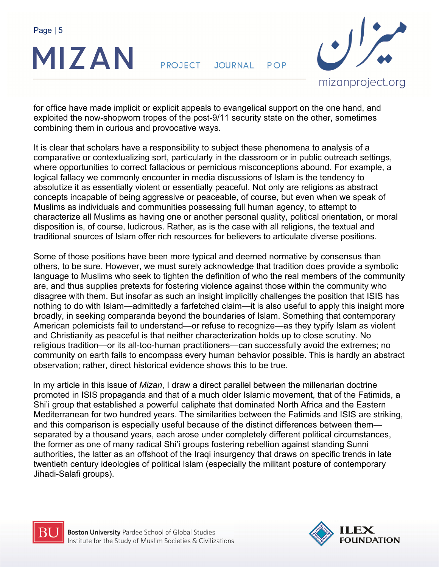

**PROJECT** JOURNAL  $POP$ 



for office have made implicit or explicit appeals to evangelical support on the one hand, and exploited the now-shopworn tropes of the post-9/11 security state on the other, sometimes combining them in curious and provocative ways.

It is clear that scholars have a responsibility to subject these phenomena to analysis of a comparative or contextualizing sort, particularly in the classroom or in public outreach settings, where opportunities to correct fallacious or pernicious misconceptions abound. For example, a logical fallacy we commonly encounter in media discussions of Islam is the tendency to absolutize it as essentially violent or essentially peaceful. Not only are religions as abstract concepts incapable of being aggressive or peaceable, of course, but even when we speak of Muslims as individuals and communities possessing full human agency, to attempt to characterize all Muslims as having one or another personal quality, political orientation, or moral disposition is, of course, ludicrous. Rather, as is the case with all religions, the textual and traditional sources of Islam offer rich resources for believers to articulate diverse positions.

Some of those positions have been more typical and deemed normative by consensus than others, to be sure. However, we must surely acknowledge that tradition does provide a symbolic language to Muslims who seek to tighten the definition of who the real members of the community are, and thus supplies pretexts for fostering violence against those within the community who disagree with them. But insofar as such an insight implicitly challenges the position that ISIS has nothing to do with Islam—admittedly a farfetched claim—it is also useful to apply this insight more broadly, in seeking comparanda beyond the boundaries of Islam. Something that contemporary American polemicists fail to understand—or refuse to recognize—as they typify Islam as violent and Christianity as peaceful is that neither characterization holds up to close scrutiny. No religious tradition—or its all-too-human practitioners—can successfully avoid the extremes; no community on earth fails to encompass every human behavior possible. This is hardly an abstract observation; rather, direct historical evidence shows this to be true.

In my article in this issue of *Mizan*, I draw a direct parallel between the millenarian doctrine promoted in ISIS propaganda and that of a much older Islamic movement, that of the Fatimids, a Shi'i group that established a powerful caliphate that dominated North Africa and the Eastern Mediterranean for two hundred years. The similarities between the Fatimids and ISIS are striking, and this comparison is especially useful because of the distinct differences between them separated by a thousand years, each arose under completely different political circumstances, the former as one of many radical Shi'i groups fostering rebellion against standing Sunni authorities, the latter as an offshoot of the Iraqi insurgency that draws on specific trends in late twentieth century ideologies of political Islam (especially the militant posture of contemporary Jihadi-Salafi groups).



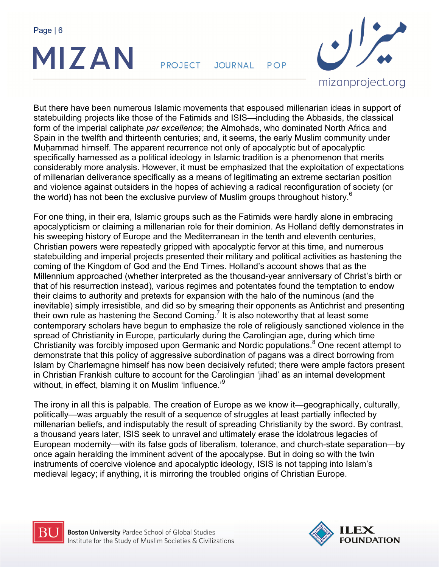

**PROJECT** JOURNAL POP



But there have been numerous Islamic movements that espoused millenarian ideas in support of statebuilding projects like those of the Fatimids and ISIS—including the Abbasids, the classical form of the imperial caliphate *par excellence*; the Almohads, who dominated North Africa and Spain in the twelfth and thirteenth centuries; and, it seems, the early Muslim community under Muhammad himself. The apparent recurrence not only of apocalyptic but of apocalyptic specifically harnessed as a political ideology in Islamic tradition is a phenomenon that merits considerably more analysis. However, it must be emphasized that the exploitation of expectations of millenarian deliverance specifically as a means of legitimating an extreme sectarian position and violence against outsiders in the hopes of achieving a radical reconfiguration of society (or the world) has not been the exclusive purview of Muslim groups throughout history.<sup>6</sup>

For one thing, in their era, Islamic groups such as the Fatimids were hardly alone in embracing apocalypticism or claiming a millenarian role for their dominion. As Holland deftly demonstrates in his sweeping history of Europe and the Mediterranean in the tenth and eleventh centuries, Christian powers were repeatedly gripped with apocalyptic fervor at this time, and numerous statebuilding and imperial projects presented their military and political activities as hastening the coming of the Kingdom of God and the End Times. Holland's account shows that as the Millennium approached (whether interpreted as the thousand-year anniversary of Christ's birth or that of his resurrection instead), various regimes and potentates found the temptation to endow their claims to authority and pretexts for expansion with the halo of the numinous (and the inevitable) simply irresistible, and did so by smearing their opponents as Antichrist and presenting their own rule as hastening the Second Coming.<sup>7</sup> It is also noteworthy that at least some contemporary scholars have begun to emphasize the role of religiously sanctioned violence in the spread of Christianity in Europe, particularly during the Carolingian age, during which time Christianity was forcibly imposed upon Germanic and Nordic populations.<sup>8</sup> One recent attempt to demonstrate that this policy of aggressive subordination of pagans was a direct borrowing from Islam by Charlemagne himself has now been decisively refuted; there were ample factors present in Christian Frankish culture to account for the Carolingian 'jihad' as an internal development without, in effect, blaming it on Muslim 'influence.'<sup>9</sup>

The irony in all this is palpable. The creation of Europe as we know it—geographically, culturally, politically—was arguably the result of a sequence of struggles at least partially inflected by millenarian beliefs, and indisputably the result of spreading Christianity by the sword. By contrast, a thousand years later, ISIS seek to unravel and ultimately erase the idolatrous legacies of European modernity—with its false gods of liberalism, tolerance, and church-state separation—by once again heralding the imminent advent of the apocalypse. But in doing so with the twin instruments of coercive violence and apocalyptic ideology, ISIS is not tapping into Islam's medieval legacy; if anything, it is mirroring the troubled origins of Christian Europe.



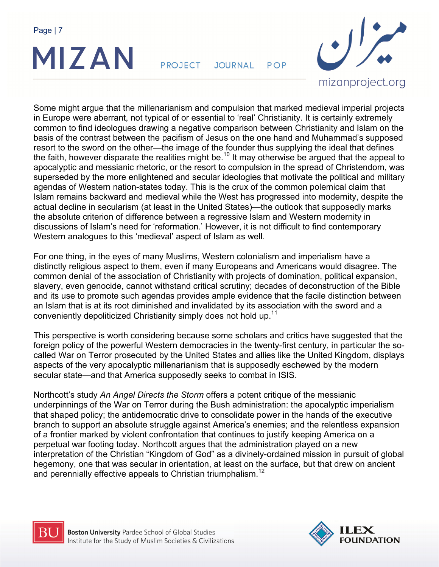

**PROJECT** JOURNAL POP



Some might argue that the millenarianism and compulsion that marked medieval imperial projects in Europe were aberrant, not typical of or essential to 'real' Christianity. It is certainly extremely common to find ideologues drawing a negative comparison between Christianity and Islam on the basis of the contrast between the pacifism of Jesus on the one hand and Muhammad's supposed resort to the sword on the other—the image of the founder thus supplying the ideal that defines the faith, however disparate the realities might be.<sup>10</sup> It may otherwise be argued that the appeal to apocalyptic and messianic rhetoric, or the resort to compulsion in the spread of Christendom, was superseded by the more enlightened and secular ideologies that motivate the political and military agendas of Western nation-states today. This is the crux of the common polemical claim that Islam remains backward and medieval while the West has progressed into modernity, despite the actual decline in secularism (at least in the United States)—the outlook that supposedly marks the absolute criterion of difference between a regressive Islam and Western modernity in discussions of Islam's need for 'reformation.' However, it is not difficult to find contemporary Western analogues to this 'medieval' aspect of Islam as well.

For one thing, in the eyes of many Muslims, Western colonialism and imperialism have a distinctly religious aspect to them, even if many Europeans and Americans would disagree. The common denial of the association of Christianity with projects of domination, political expansion, slavery, even genocide, cannot withstand critical scrutiny; decades of deconstruction of the Bible and its use to promote such agendas provides ample evidence that the facile distinction between an Islam that is at its root diminished and invalidated by its association with the sword and a conveniently depoliticized Christianity simply does not hold up.<sup>11</sup>

This perspective is worth considering because some scholars and critics have suggested that the foreign policy of the powerful Western democracies in the twenty-first century, in particular the socalled War on Terror prosecuted by the United States and allies like the United Kingdom, displays aspects of the very apocalyptic millenarianism that is supposedly eschewed by the modern secular state—and that America supposedly seeks to combat in ISIS.

Northcott's study *An Angel Directs the Storm* offers a potent critique of the messianic underpinnings of the War on Terror during the Bush administration: the apocalyptic imperialism that shaped policy; the antidemocratic drive to consolidate power in the hands of the executive branch to support an absolute struggle against America's enemies; and the relentless expansion of a frontier marked by violent confrontation that continues to justify keeping America on a perpetual war footing today. Northcott argues that the administration played on a new interpretation of the Christian "Kingdom of God" as a divinely-ordained mission in pursuit of global hegemony, one that was secular in orientation, at least on the surface, but that drew on ancient and perennially effective appeals to Christian triumphalism.<sup>12</sup>



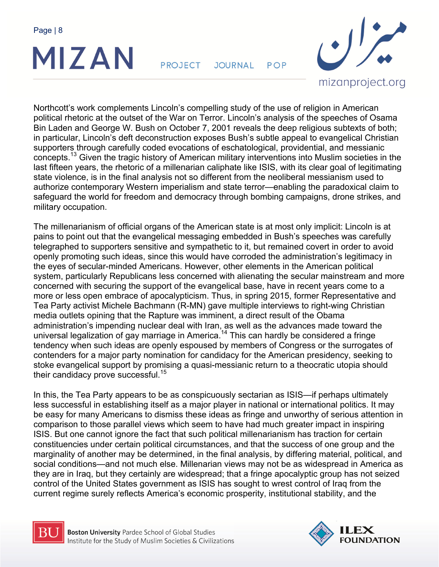

**PROJECT** JOURNAL POP



Northcott's work complements Lincoln's compelling study of the use of religion in American political rhetoric at the outset of the War on Terror. Lincoln's analysis of the speeches of Osama Bin Laden and George W. Bush on October 7, 2001 reveals the deep religious subtexts of both; in particular, Lincoln's deft deconstruction exposes Bush's subtle appeal to evangelical Christian supporters through carefully coded evocations of eschatological, providential, and messianic concepts.13 Given the tragic history of American military interventions into Muslim societies in the last fifteen years, the rhetoric of a millenarian caliphate like ISIS, with its clear goal of legitimating state violence, is in the final analysis not so different from the neoliberal messianism used to authorize contemporary Western imperialism and state terror—enabling the paradoxical claim to safeguard the world for freedom and democracy through bombing campaigns, drone strikes, and military occupation.

The millenarianism of official organs of the American state is at most only implicit: Lincoln is at pains to point out that the evangelical messaging embedded in Bush's speeches was carefully telegraphed to supporters sensitive and sympathetic to it, but remained covert in order to avoid openly promoting such ideas, since this would have corroded the administration's legitimacy in the eyes of secular-minded Americans. However, other elements in the American political system, particularly Republicans less concerned with alienating the secular mainstream and more concerned with securing the support of the evangelical base, have in recent years come to a more or less open embrace of apocalypticism. Thus, in spring 2015, former Representative and Tea Party activist Michele Bachmann (R-MN) gave multiple interviews to right-wing Christian media outlets opining that the Rapture was imminent, a direct result of the Obama administration's impending nuclear deal with Iran, as well as the advances made toward the universal legalization of gay marriage in America.<sup>14</sup> This can hardly be considered a fringe tendency when such ideas are openly espoused by members of Congress or the surrogates of contenders for a major party nomination for candidacy for the American presidency, seeking to stoke evangelical support by promising a quasi-messianic return to a theocratic utopia should their candidacy prove successful.<sup>15</sup>

In this, the Tea Party appears to be as conspicuously sectarian as ISIS—if perhaps ultimately less successful in establishing itself as a major player in national or international politics. It may be easy for many Americans to dismiss these ideas as fringe and unworthy of serious attention in comparison to those parallel views which seem to have had much greater impact in inspiring ISIS. But one cannot ignore the fact that such political millenarianism has traction for certain constituencies under certain political circumstances, and that the success of one group and the marginality of another may be determined, in the final analysis, by differing material, political, and social conditions—and not much else. Millenarian views may not be as widespread in America as they are in Iraq, but they certainly are widespread; that a fringe apocalyptic group has not seized control of the United States government as ISIS has sought to wrest control of Iraq from the current regime surely reflects America's economic prosperity, institutional stability, and the



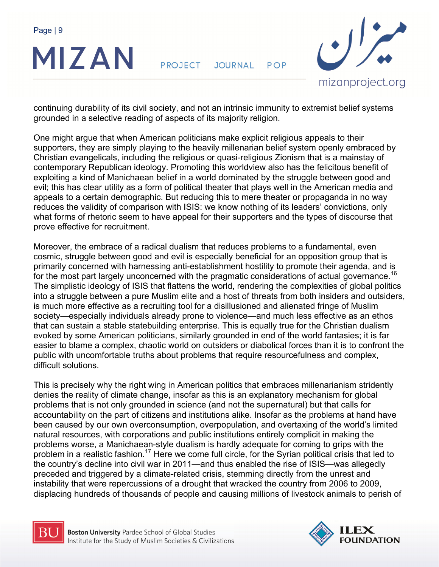

**PROJECT** JOURNAL POP



continuing durability of its civil society, and not an intrinsic immunity to extremist belief systems grounded in a selective reading of aspects of its majority religion.

One might argue that when American politicians make explicit religious appeals to their supporters, they are simply playing to the heavily millenarian belief system openly embraced by Christian evangelicals, including the religious or quasi-religious Zionism that is a mainstay of contemporary Republican ideology. Promoting this worldview also has the felicitous benefit of exploiting a kind of Manichaean belief in a world dominated by the struggle between good and evil; this has clear utility as a form of political theater that plays well in the American media and appeals to a certain demographic. But reducing this to mere theater or propaganda in no way reduces the validity of comparison with ISIS: we know nothing of its leaders' convictions, only what forms of rhetoric seem to have appeal for their supporters and the types of discourse that prove effective for recruitment.

Moreover, the embrace of a radical dualism that reduces problems to a fundamental, even cosmic, struggle between good and evil is especially beneficial for an opposition group that is primarily concerned with harnessing anti-establishment hostility to promote their agenda, and is for the most part largely unconcerned with the pragmatic considerations of actual governance.<sup>16</sup> The simplistic ideology of ISIS that flattens the world, rendering the complexities of global politics into a struggle between a pure Muslim elite and a host of threats from both insiders and outsiders, is much more effective as a recruiting tool for a disillusioned and alienated fringe of Muslim society—especially individuals already prone to violence—and much less effective as an ethos that can sustain a stable statebuilding enterprise. This is equally true for the Christian dualism evoked by some American politicians, similarly grounded in end of the world fantasies; it is far easier to blame a complex, chaotic world on outsiders or diabolical forces than it is to confront the public with uncomfortable truths about problems that require resourcefulness and complex, difficult solutions.

This is precisely why the right wing in American politics that embraces millenarianism stridently denies the reality of climate change, insofar as this is an explanatory mechanism for global problems that is not only grounded in science (and not the supernatural) but that calls for accountability on the part of citizens and institutions alike. Insofar as the problems at hand have been caused by our own overconsumption, overpopulation, and overtaxing of the world's limited natural resources, with corporations and public institutions entirely complicit in making the problems worse, a Manichaean-style dualism is hardly adequate for coming to grips with the problem in a realistic fashion.<sup>17</sup> Here we come full circle, for the Syrian political crisis that led to the country's decline into civil war in 2011—and thus enabled the rise of ISIS—was allegedly preceded and triggered by a climate-related crisis, stemming directly from the unrest and instability that were repercussions of a drought that wracked the country from 2006 to 2009, displacing hundreds of thousands of people and causing millions of livestock animals to perish of



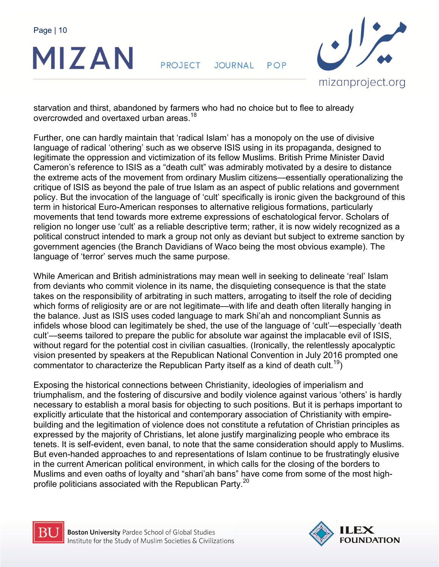

**PROJECT** JOURNAL POP



starvation and thirst, abandoned by farmers who had no choice but to flee to already overcrowded and overtaxed urban areas.<sup>18</sup>

Further, one can hardly maintain that 'radical Islam' has a monopoly on the use of divisive language of radical 'othering' such as we observe ISIS using in its propaganda, designed to legitimate the oppression and victimization of its fellow Muslims. British Prime Minister David Cameron's reference to ISIS as a "death cult" was admirably motivated by a desire to distance the extreme acts of the movement from ordinary Muslim citizens—essentially operationalizing the critique of ISIS as beyond the pale of true Islam as an aspect of public relations and government policy. But the invocation of the language of 'cult' specifically is ironic given the background of this term in historical Euro-American responses to alternative religious formations, particularly movements that tend towards more extreme expressions of eschatological fervor. Scholars of religion no longer use 'cult' as a reliable descriptive term; rather, it is now widely recognized as a political construct intended to mark a group not only as deviant but subject to extreme sanction by government agencies (the Branch Davidians of Waco being the most obvious example). The language of 'terror' serves much the same purpose.

While American and British administrations may mean well in seeking to delineate 'real' Islam from deviants who commit violence in its name, the disquieting consequence is that the state takes on the responsibility of arbitrating in such matters, arrogating to itself the role of deciding which forms of religiosity are or are not legitimate—with life and death often literally hanging in the balance. Just as ISIS uses coded language to mark Shi'ah and noncompliant Sunnis as infidels whose blood can legitimately be shed, the use of the language of 'cult'—especially 'death cult'—seems tailored to prepare the public for absolute war against the implacable evil of ISIS, without regard for the potential cost in civilian casualties. (Ironically, the relentlessly apocalyptic vision presented by speakers at the Republican National Convention in July 2016 prompted one commentator to characterize the Republican Party itself as a kind of death cult.<sup>19</sup>)

Exposing the historical connections between Christianity, ideologies of imperialism and triumphalism, and the fostering of discursive and bodily violence against various 'others' is hardly necessary to establish a moral basis for objecting to such positions. But it is perhaps important to explicitly articulate that the historical and contemporary association of Christianity with empirebuilding and the legitimation of violence does not constitute a refutation of Christian principles as expressed by the majority of Christians, let alone justify marginalizing people who embrace its tenets. It is self-evident, even banal, to note that the same consideration should apply to Muslims. But even-handed approaches to and representations of Islam continue to be frustratingly elusive in the current American political environment, in which calls for the closing of the borders to Muslims and even oaths of loyalty and "shari'ah bans" have come from some of the most highprofile politicians associated with the Republican Party.<sup>20</sup>



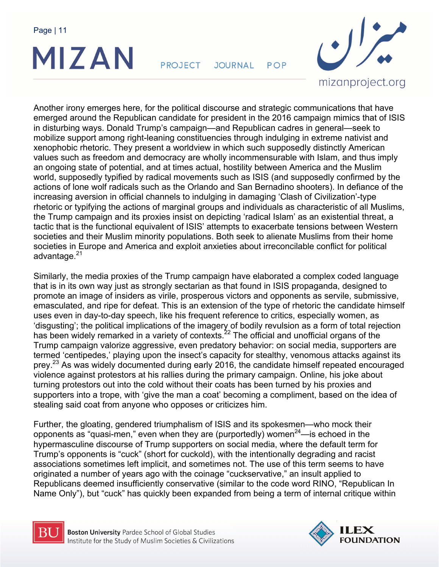

**PROJECT** JOURNAL POP



Another irony emerges here, for the political discourse and strategic communications that have emerged around the Republican candidate for president in the 2016 campaign mimics that of ISIS in disturbing ways. Donald Trump's campaign—and Republican cadres in general—seek to mobilize support among right-leaning constituencies through indulging in extreme nativist and xenophobic rhetoric. They present a worldview in which such supposedly distinctly American values such as freedom and democracy are wholly incommensurable with Islam, and thus imply an ongoing state of potential, and at times actual, hostility between America and the Muslim world, supposedly typified by radical movements such as ISIS (and supposedly confirmed by the actions of lone wolf radicals such as the Orlando and San Bernadino shooters). In defiance of the increasing aversion in official channels to indulging in damaging 'Clash of Civilization'-type rhetoric or typifying the actions of marginal groups and individuals as characteristic of all Muslims, the Trump campaign and its proxies insist on depicting 'radical Islam' as an existential threat, a tactic that is the functional equivalent of ISIS' attempts to exacerbate tensions between Western societies and their Muslim minority populations. Both seek to alienate Muslims from their home societies in Europe and America and exploit anxieties about irreconcilable conflict for political advantage.<sup>21</sup>

Similarly, the media proxies of the Trump campaign have elaborated a complex coded language that is in its own way just as strongly sectarian as that found in ISIS propaganda, designed to promote an image of insiders as virile, prosperous victors and opponents as servile, submissive, emasculated, and ripe for defeat. This is an extension of the type of rhetoric the candidate himself uses even in day-to-day speech, like his frequent reference to critics, especially women, as 'disgusting'; the political implications of the imagery of bodily revulsion as a form of total rejection has been widely remarked in a variety of contexts.<sup>22</sup> The official and unofficial organs of the Trump campaign valorize aggressive, even predatory behavior: on social media, supporters are termed 'centipedes,' playing upon the insect's capacity for stealthy, venomous attacks against its prey.<sup>23</sup> As was widely documented during early 2016, the candidate himself repeated encouraged violence against protestors at his rallies during the primary campaign. Online, his joke about turning protestors out into the cold without their coats has been turned by his proxies and supporters into a trope, with 'give the man a coat' becoming a compliment, based on the idea of stealing said coat from anyone who opposes or criticizes him.

Further, the gloating, gendered triumphalism of ISIS and its spokesmen—who mock their opponents as "quasi-men," even when they are (purportedly) women<sup>24</sup>—is echoed in the hypermasculine discourse of Trump supporters on social media, where the default term for Trump's opponents is "cuck" (short for cuckold), with the intentionally degrading and racist associations sometimes left implicit, and sometimes not. The use of this term seems to have originated a number of years ago with the coinage "cuckservative," an insult applied to Republicans deemed insufficiently conservative (similar to the code word RINO, "Republican In Name Only"), but "cuck" has quickly been expanded from being a term of internal critique within



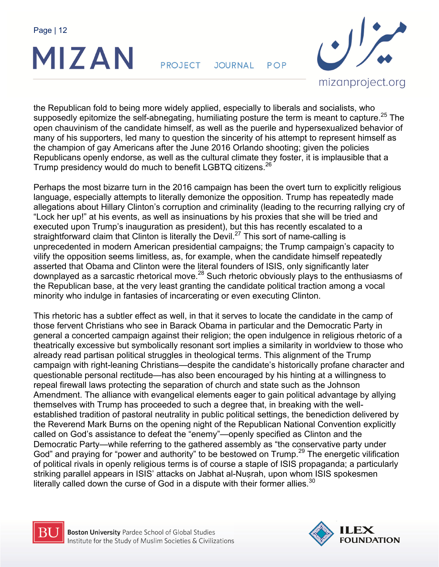

**PROJECT** JOURNAL POP



the Republican fold to being more widely applied, especially to liberals and socialists, who supposedly epitomize the self-abnegating, humiliating posture the term is meant to capture.<sup>25</sup> The open chauvinism of the candidate himself, as well as the puerile and hypersexualized behavior of many of his supporters, led many to question the sincerity of his attempt to represent himself as the champion of gay Americans after the June 2016 Orlando shooting; given the policies Republicans openly endorse, as well as the cultural climate they foster, it is implausible that a Trump presidency would do much to benefit LGBTQ citizens.<sup>26</sup>

Perhaps the most bizarre turn in the 2016 campaign has been the overt turn to explicitly religious language, especially attempts to literally demonize the opposition. Trump has repeatedly made allegations about Hillary Clinton's corruption and criminality (leading to the recurring rallying cry of "Lock her up!" at his events, as well as insinuations by his proxies that she will be tried and executed upon Trump's inauguration as president), but this has recently escalated to a straightforward claim that Clinton is literally the Devil.<sup>27</sup> This sort of name-calling is unprecedented in modern American presidential campaigns; the Trump campaign's capacity to vilify the opposition seems limitless, as, for example, when the candidate himself repeatedly asserted that Obama and Clinton were the literal founders of ISIS, only significantly later downplayed as a sarcastic rhetorical move.<sup>28</sup> Such rhetoric obviously plays to the enthusiasms of the Republican base, at the very least granting the candidate political traction among a vocal minority who indulge in fantasies of incarcerating or even executing Clinton.

This rhetoric has a subtler effect as well, in that it serves to locate the candidate in the camp of those fervent Christians who see in Barack Obama in particular and the Democratic Party in general a concerted campaign against their religion; the open indulgence in religious rhetoric of a theatrically excessive but symbolically resonant sort implies a similarity in worldview to those who already read partisan political struggles in theological terms. This alignment of the Trump campaign with right-leaning Christians—despite the candidate's historically profane character and questionable personal rectitude—has also been encouraged by his hinting at a willingness to repeal firewall laws protecting the separation of church and state such as the Johnson Amendment. The alliance with evangelical elements eager to gain political advantage by allying themselves with Trump has proceeded to such a degree that, in breaking with the wellestablished tradition of pastoral neutrality in public political settings, the benediction delivered by the Reverend Mark Burns on the opening night of the Republican National Convention explicitly called on God's assistance to defeat the "enemy"—openly specified as Clinton and the Democratic Party—while referring to the gathered assembly as "the conservative party under God" and praying for "power and authority" to be bestowed on Trump.<sup>29</sup> The energetic vilification of political rivals in openly religious terms is of course a staple of ISIS propaganda; a particularly striking parallel appears in ISIS' attacks on Jabhat al-Nuṣrah, upon whom ISIS spokesmen literally called down the curse of God in a dispute with their former allies.<sup>30</sup>



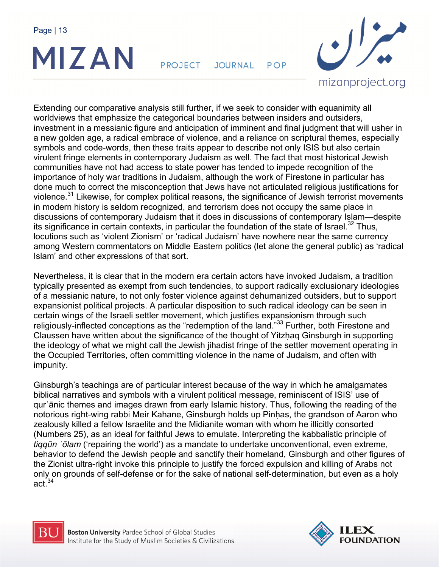

**PROJECT** JOURNAL POP



Extending our comparative analysis still further, if we seek to consider with equanimity all worldviews that emphasize the categorical boundaries between insiders and outsiders, investment in a messianic figure and anticipation of imminent and final judgment that will usher in a new golden age, a radical embrace of violence, and a reliance on scriptural themes, especially symbols and code-words, then these traits appear to describe not only ISIS but also certain virulent fringe elements in contemporary Judaism as well. The fact that most historical Jewish communities have not had access to state power has tended to impede recognition of the importance of holy war traditions in Judaism, although the work of Firestone in particular has done much to correct the misconception that Jews have not articulated religious justifications for violence.<sup>31</sup> Likewise, for complex political reasons, the significance of Jewish terrorist movements in modern history is seldom recognized, and terrorism does not occupy the same place in discussions of contemporary Judaism that it does in discussions of contemporary Islam—despite its significance in certain contexts, in particular the foundation of the state of Israel.<sup>32</sup> Thus, locutions such as 'violent Zionism' or 'radical Judaism' have nowhere near the same currency among Western commentators on Middle Eastern politics (let alone the general public) as 'radical Islam' and other expressions of that sort.

Nevertheless, it is clear that in the modern era certain actors have invoked Judaism, a tradition typically presented as exempt from such tendencies, to support radically exclusionary ideologies of a messianic nature, to not only foster violence against dehumanized outsiders, but to support expansionist political projects. A particular disposition to such radical ideology can be seen in certain wings of the Israeli settler movement, which justifies expansionism through such religiously-inflected conceptions as the "redemption of the land."33 Further, both Firestone and Claussen have written about the significance of the thought of Yitzhag Ginsburgh in supporting the ideology of what we might call the Jewish jihadist fringe of the settler movement operating in the Occupied Territories, often committing violence in the name of Judaism, and often with impunity.

Ginsburgh's teachings are of particular interest because of the way in which he amalgamates biblical narratives and symbols with a virulent political message, reminiscent of ISIS' use of qurʾānic themes and images drawn from early Islamic history. Thus, following the reading of the notorious right-wing rabbi Meir Kahane, Ginsburgh holds up Pinḥas, the grandson of Aaron who zealously killed a fellow Israelite and the Midianite woman with whom he illicitly consorted (Numbers 25), as an ideal for faithful Jews to emulate. Interpreting the kabbalistic principle of *tiqqūn ʿōlam* ('repairing the world') as a mandate to undertake unconventional, even extreme, behavior to defend the Jewish people and sanctify their homeland, Ginsburgh and other figures of the Zionist ultra-right invoke this principle to justify the forced expulsion and killing of Arabs not only on grounds of self-defense or for the sake of national self-determination, but even as a holy act.<sup>34</sup>



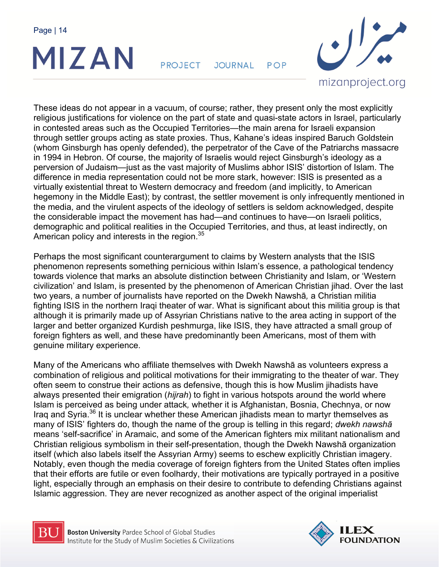

**PROJECT** JOURNAL POP



These ideas do not appear in a vacuum, of course; rather, they present only the most explicitly religious justifications for violence on the part of state and quasi-state actors in Israel, particularly in contested areas such as the Occupied Territories—the main arena for Israeli expansion through settler groups acting as state proxies. Thus, Kahane's ideas inspired Baruch Goldstein (whom Ginsburgh has openly defended), the perpetrator of the Cave of the Patriarchs massacre in 1994 in Hebron. Of course, the majority of Israelis would reject Ginsburgh's ideology as a perversion of Judaism—just as the vast majority of Muslims abhor ISIS' distortion of Islam. The difference in media representation could not be more stark, however: ISIS is presented as a virtually existential threat to Western democracy and freedom (and implicitly, to American hegemony in the Middle East); by contrast, the settler movement is only infrequently mentioned in the media, and the virulent aspects of the ideology of settlers is seldom acknowledged, despite the considerable impact the movement has had—and continues to have—on Israeli politics, demographic and political realities in the Occupied Territories, and thus, at least indirectly, on American policy and interests in the region.  $35$ 

Perhaps the most significant counterargument to claims by Western analysts that the ISIS phenomenon represents something pernicious within Islam's essence, a pathological tendency towards violence that marks an absolute distinction between Christianity and Islam, or 'Western civilization' and Islam, is presented by the phenomenon of American Christian jihad. Over the last two years, a number of journalists have reported on the Dwekh Nawshā*,* a Christian militia fighting ISIS in the northern Iraqi theater of war. What is significant about this militia group is that although it is primarily made up of Assyrian Christians native to the area acting in support of the larger and better organized Kurdish peshmurga, like ISIS, they have attracted a small group of foreign fighters as well, and these have predominantly been Americans, most of them with genuine military experience.

Many of the Americans who affiliate themselves with Dwekh Nawshā as volunteers express a combination of religious and political motivations for their immigrating to the theater of war. They often seem to construe their actions as defensive, though this is how Muslim jihadists have always presented their emigration (*hijrah*) to fight in various hotspots around the world where Islam is perceived as being under attack*,* whether it is Afghanistan, Bosnia, Chechnya, or now Iraq and Syria.36 It is unclear whether these American jihadists mean to martyr themselves as many of ISIS' fighters do, though the name of the group is telling in this regard; *dwekh nawshā* means 'self-sacrifice' in Aramaic, and some of the American fighters mix militant nationalism and Christian religious symbolism in their self-presentation, though the Dwekh Nawshā organization itself (which also labels itself the Assyrian Army) seems to eschew explicitly Christian imagery. Notably, even though the media coverage of foreign fighters from the United States often implies that their efforts are futile or even foolhardy, their motivations are typically portrayed in a positive light, especially through an emphasis on their desire to contribute to defending Christians against Islamic aggression. They are never recognized as another aspect of the original imperialist



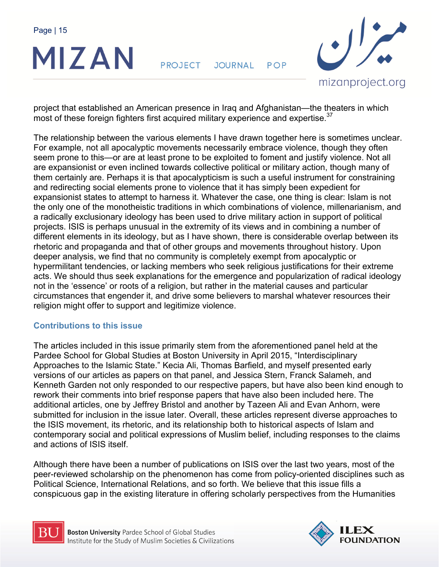

**PROJECT** JOURNAL POP



project that established an American presence in Iraq and Afghanistan—the theaters in which most of these foreign fighters first acquired military experience and expertise.<sup>37</sup>

The relationship between the various elements I have drawn together here is sometimes unclear. For example, not all apocalyptic movements necessarily embrace violence, though they often seem prone to this—or are at least prone to be exploited to foment and justify violence. Not all are expansionist or even inclined towards collective political or military action, though many of them certainly are. Perhaps it is that apocalypticism is such a useful instrument for constraining and redirecting social elements prone to violence that it has simply been expedient for expansionist states to attempt to harness it. Whatever the case, one thing is clear: Islam is not the only one of the monotheistic traditions in which combinations of violence, millenarianism, and a radically exclusionary ideology has been used to drive military action in support of political projects. ISIS is perhaps unusual in the extremity of its views and in combining a number of different elements in its ideology, but as I have shown, there is considerable overlap between its rhetoric and propaganda and that of other groups and movements throughout history. Upon deeper analysis, we find that no community is completely exempt from apocalyptic or hypermilitant tendencies, or lacking members who seek religious justifications for their extreme acts. We should thus seek explanations for the emergence and popularization of radical ideology not in the 'essence' or roots of a religion, but rather in the material causes and particular circumstances that engender it, and drive some believers to marshal whatever resources their religion might offer to support and legitimize violence.

## **Contributions to this issue**

The articles included in this issue primarily stem from the aforementioned panel held at the Pardee School for Global Studies at Boston University in April 2015, "Interdisciplinary Approaches to the Islamic State." Kecia Ali, Thomas Barfield, and myself presented early versions of our articles as papers on that panel, and Jessica Stern, Franck Salameh, and Kenneth Garden not only responded to our respective papers, but have also been kind enough to rework their comments into brief response papers that have also been included here. The additional articles, one by Jeffrey Bristol and another by Tazeen Ali and Evan Anhorn, were submitted for inclusion in the issue later. Overall, these articles represent diverse approaches to the ISIS movement, its rhetoric, and its relationship both to historical aspects of Islam and contemporary social and political expressions of Muslim belief, including responses to the claims and actions of ISIS itself.

Although there have been a number of publications on ISIS over the last two years, most of the peer-reviewed scholarship on the phenomenon has come from policy-oriented disciplines such as Political Science, International Relations, and so forth. We believe that this issue fills a conspicuous gap in the existing literature in offering scholarly perspectives from the Humanities



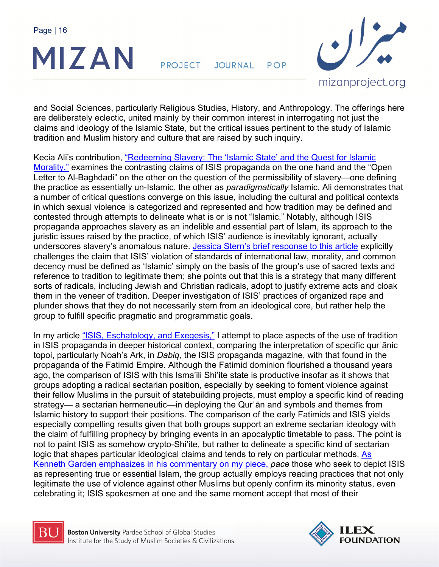

**PROJECT** JOURNAL POP



and Social Sciences, particularly Religious Studies, History, and Anthropology. The offerings here are deliberately eclectic, united mainly by their common interest in interrogating not just the claims and ideology of the Islamic State, but the critical issues pertinent to the study of Islamic tradition and Muslim history and culture that are raised by such inquiry.

Kecia Ali's contribution, "Redeeming Slavery: The 'Islamic State' and the Quest for Islamic Morality," examines the contrasting claims of ISIS propaganda on the one hand and the "Open Letter to Al-Baghdadi" on the other on the question of the permissibility of slavery—one defining the practice as essentially un-Islamic, the other as *paradigmatically* Islamic. Ali demonstrates that a number of critical questions converge on this issue, including the cultural and political contexts in which sexual violence is categorized and represented and how tradition may be defined and contested through attempts to delineate what is or is not "Islamic." Notably, although ISIS propaganda approaches slavery as an indelible and essential part of Islam, its approach to the juristic issues raised by the practice, of which ISIS' audience is inevitably ignorant, actually underscores slavery's anomalous nature. Jessica Stern's brief response to this article explicitly challenges the claim that ISIS' violation of standards of international law, morality, and common decency must be defined as 'Islamic' simply on the basis of the group's use of sacred texts and reference to tradition to legitimate them; she points out that this is a strategy that many different sorts of radicals, including Jewish and Christian radicals, adopt to justify extreme acts and cloak them in the veneer of tradition. Deeper investigation of ISIS' practices of organized rape and plunder shows that they do not necessarily stem from an ideological core, but rather help the group to fulfill specific pragmatic and programmatic goals.

In my article "ISIS, Eschatology, and Exegesis," I attempt to place aspects of the use of tradition in ISIS propaganda in deeper historical context, comparing the interpretation of specific qurʾānic topoi, particularly Noah's Ark, in *Dabiq,* the ISIS propaganda magazine, with that found in the propaganda of the Fatimid Empire. Although the Fatimid dominion flourished a thousand years ago, the comparison of ISIS with this Isma'ili Shi'ite state is productive insofar as it shows that groups adopting a radical sectarian position, especially by seeking to foment violence against their fellow Muslims in the pursuit of statebuilding projects, must employ a specific kind of reading strategy— a sectarian hermeneutic—in deploying the Qurʾān and symbols and themes from Islamic history to support their positions. The comparison of the early Fatimids and ISIS yields especially compelling results given that both groups support an extreme sectarian ideology with the claim of fulfilling prophecy by bringing events in an apocalyptic timetable to pass. The point is not to paint ISIS as somehow crypto-Shi'ite, but rather to delineate a specific kind of sectarian logic that shapes particular ideological claims and tends to rely on particular methods. As Kenneth Garden emphasizes in his commentary on my piece, *pace* those who seek to depict ISIS as representing true or essential Islam, the group actually employs reading practices that not only legitimate the use of violence against other Muslims but openly confirm its minority status, even celebrating it; ISIS spokesmen at one and the same moment accept that most of their



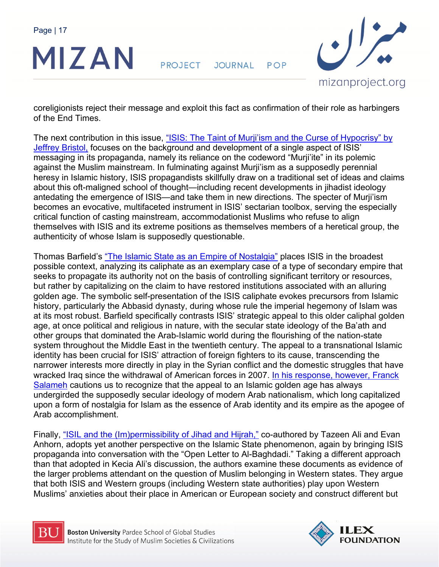

**PROJECT** JOURNAL POP



coreligionists reject their message and exploit this fact as confirmation of their role as harbingers of the End Times.

The next contribution in this issue, "ISIS: The Taint of Murji'ism and the Curse of Hypocrisy" by Jeffrey Bristol, focuses on the background and development of a single aspect of ISIS' messaging in its propaganda, namely its reliance on the codeword "Murji'ite" in its polemic against the Muslim mainstream. In fulminating against Murji'ism as a supposedly perennial heresy in Islamic history, ISIS propagandists skillfully draw on a traditional set of ideas and claims about this oft-maligned school of thought—including recent developments in jihadist ideology antedating the emergence of ISIS—and take them in new directions. The specter of Murji'ism becomes an evocative, multifaceted instrument in ISIS' sectarian toolbox, serving the especially critical function of casting mainstream, accommodationist Muslims who refuse to align themselves with ISIS and its extreme positions as themselves members of a heretical group, the authenticity of whose Islam is supposedly questionable.

Thomas Barfield's "The Islamic State as an Empire of Nostalgia" places ISIS in the broadest possible context, analyzing its caliphate as an exemplary case of a type of secondary empire that seeks to propagate its authority not on the basis of controlling significant territory or resources, but rather by capitalizing on the claim to have restored institutions associated with an alluring golden age. The symbolic self-presentation of the ISIS caliphate evokes precursors from Islamic history, particularly the Abbasid dynasty, during whose rule the imperial hegemony of Islam was at its most robust. Barfield specifically contrasts ISIS' strategic appeal to this older caliphal golden age, at once political and religious in nature, with the secular state ideology of the Ba'ath and other groups that dominated the Arab-Islamic world during the flourishing of the nation-state system throughout the Middle East in the twentieth century. The appeal to a transnational Islamic identity has been crucial for ISIS' attraction of foreign fighters to its cause, transcending the narrower interests more directly in play in the Syrian conflict and the domestic struggles that have wracked Iraq since the withdrawal of American forces in 2007. In his response, however, Franck Salameh cautions us to recognize that the appeal to an Islamic golden age has always undergirded the supposedly secular ideology of modern Arab nationalism, which long capitalized upon a form of nostalgia for Islam as the essence of Arab identity and its empire as the apogee of Arab accomplishment.

Finally, "ISIL and the (Im)permissibility of Jihad and Hijrah," co-authored by Tazeen Ali and Evan Anhorn, adopts yet another perspective on the Islamic State phenomenon, again by bringing ISIS propaganda into conversation with the "Open Letter to Al-Baghdadi." Taking a different approach than that adopted in Kecia Ali's discussion, the authors examine these documents as evidence of the larger problems attendant on the question of Muslim belonging in Western states. They argue that both ISIS and Western groups (including Western state authorities) play upon Western Muslims' anxieties about their place in American or European society and construct different but



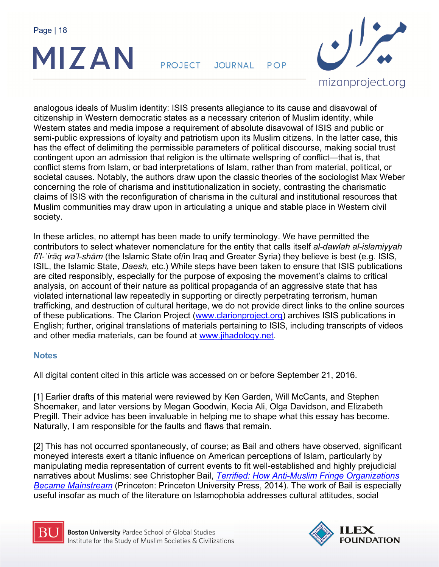

**PROJECT** JOURNAL POP



analogous ideals of Muslim identity: ISIS presents allegiance to its cause and disavowal of citizenship in Western democratic states as a necessary criterion of Muslim identity, while Western states and media impose a requirement of absolute disavowal of ISIS and public or semi-public expressions of loyalty and patriotism upon its Muslim citizens. In the latter case, this has the effect of delimiting the permissible parameters of political discourse, making social trust contingent upon an admission that religion is the ultimate wellspring of conflict—that is, that conflict stems from Islam, or bad interpretations of Islam, rather than from material, political, or societal causes. Notably, the authors draw upon the classic theories of the sociologist Max Weber concerning the role of charisma and institutionalization in society, contrasting the charismatic claims of ISIS with the reconfiguration of charisma in the cultural and institutional resources that Muslim communities may draw upon in articulating a unique and stable place in Western civil society.

In these articles, no attempt has been made to unify terminology. We have permitted the contributors to select whatever nomenclature for the entity that calls itself *al-dawlah al-islamiyyah fī'l-ʿirāq wa'l-shām* (the Islamic State of/in Iraq and Greater Syria) they believe is best (e.g. ISIS, ISIL, the Islamic State, *Daesh,* etc.) While steps have been taken to ensure that ISIS publications are cited responsibly, especially for the purpose of exposing the movement's claims to critical analysis, on account of their nature as political propaganda of an aggressive state that has violated international law repeatedly in supporting or directly perpetrating terrorism, human trafficking, and destruction of cultural heritage, we do not provide direct links to the online sources of these publications. The Clarion Project (www.clarionproject.org) archives ISIS publications in English; further, original translations of materials pertaining to ISIS, including transcripts of videos and other media materials, can be found at www.jihadology.net.

## **Notes**

All digital content cited in this article was accessed on or before September 21, 2016.

[1] Earlier drafts of this material were reviewed by Ken Garden, Will McCants, and Stephen Shoemaker, and later versions by Megan Goodwin, Kecia Ali, Olga Davidson, and Elizabeth Pregill. Their advice has been invaluable in helping me to shape what this essay has become. Naturally, I am responsible for the faults and flaws that remain.

[2] This has not occurred spontaneously, of course; as Bail and others have observed, significant moneyed interests exert a titanic influence on American perceptions of Islam, particularly by manipulating media representation of current events to fit well-established and highly prejudicial narratives about Muslims: see Christopher Bail, *Terrified: How Anti-Muslim Fringe Organizations Became Mainstream* (Princeton: Princeton University Press, 2014). The work of Bail is especially useful insofar as much of the literature on Islamophobia addresses cultural attitudes, social



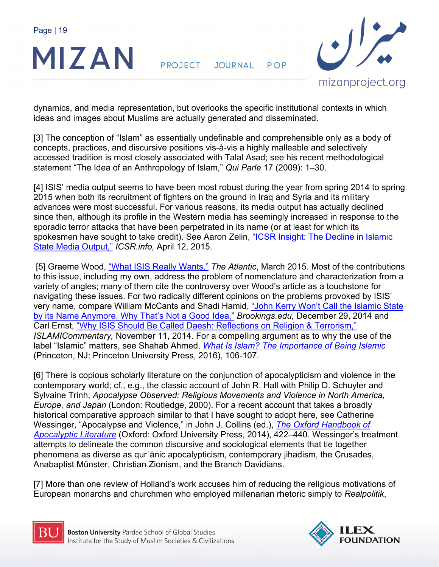

**PROJECT** JOURNAL POP



dynamics, and media representation, but overlooks the specific institutional contexts in which ideas and images about Muslims are actually generated and disseminated.

[3] The conception of "Islam" as essentially undefinable and comprehensible only as a body of concepts, practices, and discursive positions vis-à-vis a highly malleable and selectively accessed tradition is most closely associated with Talal Asad; see his recent methodological statement "The Idea of an Anthropology of Islam," *Qui Parle* 17 (2009): 1–30.

[4] ISIS' media output seems to have been most robust during the year from spring 2014 to spring 2015 when both its recruitment of fighters on the ground in Iraq and Syria and its military advances were most successful. For various reasons, its media output has actually declined since then, although its profile in the Western media has seemingly increased in response to the sporadic terror attacks that have been perpetrated in its name (or at least for which its spokesmen have sought to take credit). See Aaron Zelin, "ICSR Insight: The Decline in Islamic State Media Output," *ICSR.info,* April 12, 2015.

 [5] Graeme Wood, "What ISIS Really Wants," *The Atlantic*, March 2015*.* Most of the contributions to this issue, including my own, address the problem of nomenclature and characterization from a variety of angles; many of them cite the controversy over Wood's article as a touchstone for navigating these issues. For two radically different opinions on the problems provoked by ISIS' very name, compare William McCants and Shadi Hamid, "John Kerry Won't Call the Islamic State by its Name Anymore. Why That's Not a Good Idea," *Brookings.edu,* December 29, 2014 and Carl Ernst, "Why ISIS Should Be Called Daesh: Reflections on Religion & Terrorism," *ISLAMICommentary,* November 11, 2014. For a compelling argument as to why the use of the label "Islamic" matters, see Shahab Ahmed, *What Is Islam? The Importance of Being Islamic* (Princeton, NJ: Princeton University Press, 2016), 106-107.

[6] There is copious scholarly literature on the conjunction of apocalypticism and violence in the contemporary world; cf., e.g., the classic account of John R. Hall with Philip D. Schuyler and Sylvaine Trinh, *Apocalypse Observed: Religious Movements and Violence in North America, Europe, and Japan* (London: Routledge, 2000). For a recent account that takes a broadly historical comparative approach similar to that I have sought to adopt here, see Catherine Wessinger, "Apocalypse and Violence," in John J. Collins (ed.), *The Oxford Handbook of Apocalyptic Literature* (Oxford: Oxford University Press, 2014), 422–440. Wessinger's treatment attempts to delineate the common discursive and sociological elements that tie together phenomena as diverse as qurʾānic apocalypticism, contemporary jihadism, the Crusades, Anabaptist Münster, Christian Zionism, and the Branch Davidians.

[7] More than one review of Holland's work accuses him of reducing the religious motivations of European monarchs and churchmen who employed millenarian rhetoric simply to *Realpolitik*,



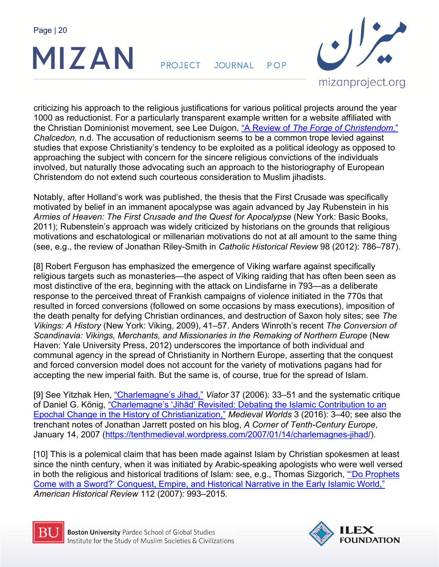

**PROJECT JOURNAL** POP



criticizing his approach to the religious justifications for various political projects around the year 1000 as reductionist. For a particularly transparent example written for a website affiliated with the Christian Dominionist movement, see Lee Duigon, "A Review of *The Forge of Christendom,*" *Chalcedon,* n.d. The accusation of reductionism seems to be a common trope levied against studies that expose Christianity's tendency to be exploited as a political ideology as opposed to approaching the subject with concern for the sincere religious convictions of the individuals involved, but naturally those advocating such an approach to the historiography of European Christendom do not extend such courteous consideration to Muslim jihadists.

Notably, after Holland's work was published, the thesis that the First Crusade was specifically motivated by belief in an immanent apocalypse was again advanced by Jay Rubenstein in his *Armies of Heaven: The First Crusade and the Quest for Apocalypse* (New York: Basic Books, 2011); Rubenstein's approach was widely criticized by historians on the grounds that religious motivations and eschatological or millenarian motivations do not at all amount to the same thing (see, e.g., the review of Jonathan Riley-Smith in *Catholic Historical Review* 98 (2012): 786–787).

[8] Robert Ferguson has emphasized the emergence of Viking warfare against specifically religious targets such as monasteries—the aspect of Viking raiding that has often been seen as most distinctive of the era, beginning with the attack on Lindisfarne in 793—as a deliberate response to the perceived threat of Frankish campaigns of violence initiated in the 770s that resulted in forced conversions (followed on some occasions by mass executions), imposition of the death penalty for defying Christian ordinances, and destruction of Saxon holy sites; see *The Vikings: A History* (New York: Viking, 2009), 41–57. Anders Winroth's recent *The Conversion of Scandinavia: Vikings, Merchants, and Missionaries in the Remaking of Northern Europe* (New Haven: Yale University Press, 2012) underscores the importance of both individual and communal agency in the spread of Christianity in Northern Europe, asserting that the conquest and forced conversion model does not account for the variety of motivations pagans had for accepting the new imperial faith. But the same is, of course, true for the spread of Islam.

[9] See Yitzhak Hen, "Charlemagne's Jihad," *Viator* 37 (2006): 33–51 and the systematic critique of Daniel G. König, "Charlemagne's 'Jihād' Revisited: Debating the Islamic Contribution to an Epochal Change in the History of Christianization," *Medieval Worlds* 3 (2016): 3–40; see also the trenchant notes of Jonathan Jarrett posted on his blog, *A Corner of Tenth-Century Europe*, January 14, 2007 (https://tenthmedieval.wordpress.com/2007/01/14/charlemagnes-jihad/).

[10] This is a polemical claim that has been made against Islam by Christian spokesmen at least since the ninth century, when it was initiated by Arabic-speaking apologists who were well versed in both the religious and historical traditions of Islam: see, e.g., Thomas Sizgorich, "Do Prophets Come with a Sword?' Conquest, Empire, and Historical Narrative in the Early Islamic World," *American Historical Review* 112 (2007): 993–2015.



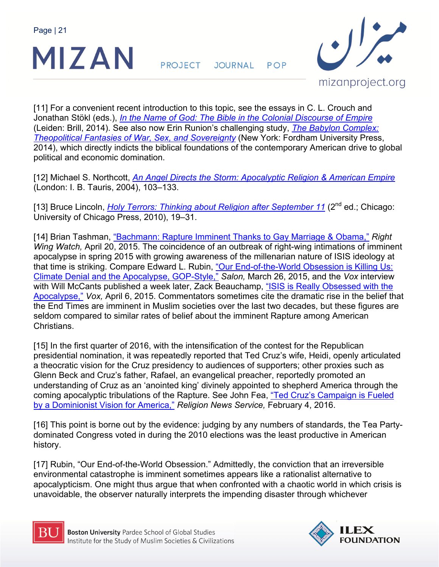

**PROJECT JOURNAL** POP



[11] For a convenient recent introduction to this topic, see the essays in C. L. Crouch and Jonathan Stökl (eds.), *In the Name of God: The Bible in the Colonial Discourse of Empire* (Leiden: Brill, 2014). See also now Erin Runion's challenging study, *The Babylon Complex: Theopolitical Fantasies of War, Sex, and Sovereignty* (New York: Fordham University Press, 2014), which directly indicts the biblical foundations of the contemporary American drive to global political and economic domination.

[12] Michael S. Northcott, *An Angel Directs the Storm: Apocalyptic Religion & American Empire* (London: I. B. Tauris, 2004), 103–133.

[13] Bruce Lincoln, *Holy Terrors: Thinking about Religion after September 11* (2<sup>nd</sup> ed.; Chicago: University of Chicago Press, 2010), 19–31.

[14] Brian Tashman, "Bachmann: Rapture Imminent Thanks to Gay Marriage & Obama," *Right Wing Watch,* April 20, 2015. The coincidence of an outbreak of right-wing intimations of imminent apocalypse in spring 2015 with growing awareness of the millenarian nature of ISIS ideology at that time is striking. Compare Edward L. Rubin, "Our End-of-the-World Obsession is Killing Us: Climate Denial and the Apocalypse, GOP-Style," *Salon,* March 26, 2015, and the *Vox* interview with Will McCants published a week later, Zack Beauchamp, "ISIS is Really Obsessed with the Apocalypse," *Vox,* April 6, 2015. Commentators sometimes cite the dramatic rise in the belief that the End Times are imminent in Muslim societies over the last two decades, but these figures are seldom compared to similar rates of belief about the imminent Rapture among American **Christians** 

[15] In the first quarter of 2016, with the intensification of the contest for the Republican presidential nomination, it was repeatedly reported that Ted Cruz's wife, Heidi, openly articulated a theocratic vision for the Cruz presidency to audiences of supporters; other proxies such as Glenn Beck and Cruz's father, Rafael, an evangelical preacher, reportedly promoted an understanding of Cruz as an 'anointed king' divinely appointed to shepherd America through the coming apocalyptic tribulations of the Rapture. See John Fea, "Ted Cruz's Campaign is Fueled by a Dominionist Vision for America," *Religion News Service,* February 4, 2016.

[16] This point is borne out by the evidence: judging by any numbers of standards, the Tea Partydominated Congress voted in during the 2010 elections was the least productive in American history.

[17] Rubin, "Our End-of-the-World Obsession." Admittedly, the conviction that an irreversible environmental catastrophe is imminent sometimes appears like a rationalist alternative to apocalypticism. One might thus argue that when confronted with a chaotic world in which crisis is unavoidable, the observer naturally interprets the impending disaster through whichever



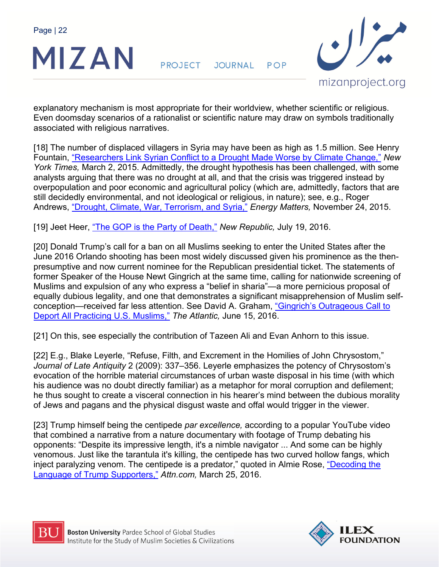

**PROJECT** JOURNAL POP



explanatory mechanism is most appropriate for their worldview, whether scientific or religious. Even doomsday scenarios of a rationalist or scientific nature may draw on symbols traditionally associated with religious narratives.

[18] The number of displaced villagers in Syria may have been as high as 1.5 million. See Henry Fountain, "Researchers Link Syrian Conflict to a Drought Made Worse by Climate Change," *New York Times,* March 2, 2015. Admittedly, the drought hypothesis has been challenged, with some analysts arguing that there was no drought at all, and that the crisis was triggered instead by overpopulation and poor economic and agricultural policy (which are, admittedly, factors that are still decidedly environmental, and not ideological or religious, in nature); see, e.g., Roger Andrews, "Drought, Climate, War, Terrorism, and Syria," *Energy Matters,* November 24, 2015.

[19] Jeet Heer, "The GOP is the Party of Death," *New Republic,* July 19, 2016.

[20] Donald Trump's call for a ban on all Muslims seeking to enter the United States after the June 2016 Orlando shooting has been most widely discussed given his prominence as the thenpresumptive and now current nominee for the Republican presidential ticket. The statements of former Speaker of the House Newt Gingrich at the same time, calling for nationwide screening of Muslims and expulsion of any who express a "belief in sharia"—a more pernicious proposal of equally dubious legality, and one that demonstrates a significant misapprehension of Muslim selfconception—received far less attention. See David A. Graham, "Gingrich's Outrageous Call to Deport All Practicing U.S. Muslims," *The Atlantic,* June 15, 2016.

[21] On this, see especially the contribution of Tazeen Ali and Evan Anhorn to this issue.

[22] E.g., Blake Leyerle, "Refuse, Filth, and Excrement in the Homilies of John Chrysostom," *Journal of Late Antiquity* 2 (2009): 337–356. Leyerle emphasizes the potency of Chrysostom's evocation of the horrible material circumstances of urban waste disposal in his time (with which his audience was no doubt directly familiar) as a metaphor for moral corruption and defilement; he thus sought to create a visceral connection in his hearer's mind between the dubious morality of Jews and pagans and the physical disgust waste and offal would trigger in the viewer.

[23] Trump himself being the centipede *par excellence,* according to a popular YouTube video that combined a narrative from a nature documentary with footage of Trump debating his opponents: "Despite its impressive length, it's a nimble navigator ... And some can be highly venomous. Just like the tarantula it's killing, the centipede has two curved hollow fangs, which inject paralyzing venom. The centipede is a predator," quoted in Almie Rose, "Decoding the Language of Trump Supporters," *Attn.com,* March 25, 2016.



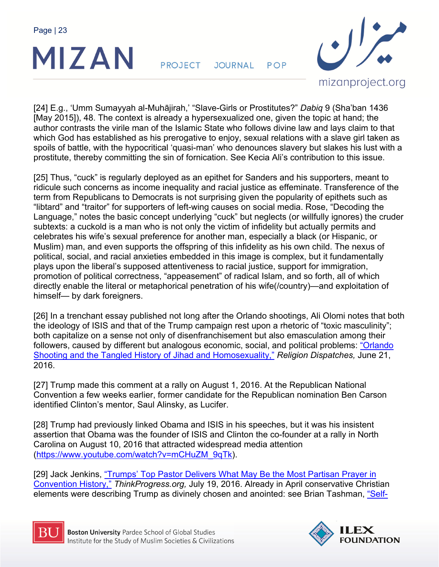

**PROJECT** JOURNAL POP



[24] E.g., 'Umm Sumayyah al-Muhājirah,' "Slave-Girls or Prostitutes?" *Dabiq* 9 (Sha'ban 1436 [May 2015]), 48. The context is already a hypersexualized one, given the topic at hand; the author contrasts the virile man of the Islamic State who follows divine law and lays claim to that which God has established as his prerogative to enjoy, sexual relations with a slave girl taken as spoils of battle, with the hypocritical 'quasi-man' who denounces slavery but slakes his lust with a prostitute, thereby committing the sin of fornication. See Kecia Ali's contribution to this issue.

[25] Thus, "cuck" is regularly deployed as an epithet for Sanders and his supporters, meant to ridicule such concerns as income inequality and racial justice as effeminate. Transference of the term from Republicans to Democrats is not surprising given the popularity of epithets such as "libtard" and "traitor" for supporters of left-wing causes on social media. Rose, "Decoding the Language," notes the basic concept underlying "cuck" but neglects (or willfully ignores) the cruder subtexts: a cuckold is a man who is not only the victim of infidelity but actually permits and celebrates his wife's sexual preference for another man, especially a black (or Hispanic, or Muslim) man, and even supports the offspring of this infidelity as his own child. The nexus of political, social, and racial anxieties embedded in this image is complex, but it fundamentally plays upon the liberal's supposed attentiveness to racial justice, support for immigration, promotion of political correctness, "appeasement" of radical Islam, and so forth, all of which directly enable the literal or metaphorical penetration of his wife(/country)—and exploitation of himself— by dark foreigners.

[26] In a trenchant essay published not long after the Orlando shootings, Ali Olomi notes that both the ideology of ISIS and that of the Trump campaign rest upon a rhetoric of "toxic masculinity"; both capitalize on a sense not only of disenfranchisement but also emasculation among their followers, caused by different but analogous economic, social, and political problems: "Orlando Shooting and the Tangled History of Jihad and Homosexuality," *Religion Dispatches,* June 21, 2016.

[27] Trump made this comment at a rally on August 1, 2016. At the Republican National Convention a few weeks earlier, former candidate for the Republican nomination Ben Carson identified Clinton's mentor, Saul Alinsky, as Lucifer.

[28] Trump had previously linked Obama and ISIS in his speeches, but it was his insistent assertion that Obama was the founder of ISIS and Clinton the co-founder at a rally in North Carolina on August 10, 2016 that attracted widespread media attention (https://www.youtube.com/watch?v=mCHuZM\_9qTk).

[29] Jack Jenkins, "Trumps' Top Pastor Delivers What May Be the Most Partisan Prayer in Convention History," *ThinkProgress.org,* July 19, 2016. Already in April conservative Christian elements were describing Trump as divinely chosen and anointed: see Brian Tashman, "Self-



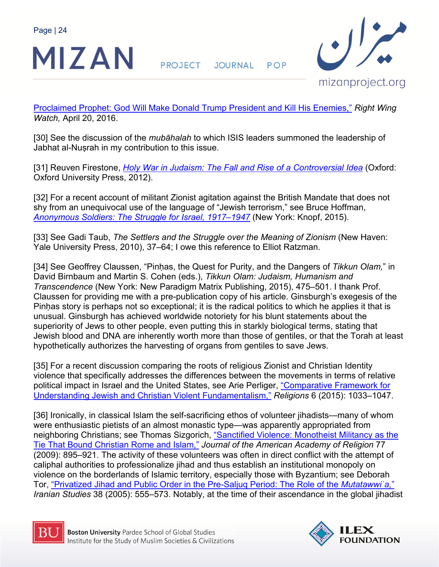

**PROJECT** JOURNAL POP



Proclaimed Prophet: God Will Make Donald Trump President and Kill His Enemies," *Right Wing Watch,* April 20, 2016.

[30] See the discussion of the *mubāhalah* to which ISIS leaders summoned the leadership of Jabhat al-Nuṣrah in my contribution to this issue.

[31] Reuven Firestone, *Holy War in Judaism: The Fall and Rise of a Controversial Idea* (Oxford: Oxford University Press, 2012).

[32] For a recent account of militant Zionist agitation against the British Mandate that does not shy from an unequivocal use of the language of "Jewish terrorism," see Bruce Hoffman, *Anonymous Soldiers: The Struggle for Israel, 1917–1947* (New York: Knopf, 2015).

[33] See Gadi Taub, *The Settlers and the Struggle over the Meaning of Zionism* (New Haven: Yale University Press, 2010), 37–64; I owe this reference to Elliot Ratzman.

[34] See Geoffrey Claussen, "Pinḥas, the Quest for Purity, and the Dangers of *Tikkun Olam,*" in David Birnbaum and Martin S. Cohen (eds.), *Tikkun Olam: Judaism, Humanism and Transcendence* (New York: New Paradigm Matrix Publishing, 2015), 475–501. I thank Prof. Claussen for providing me with a pre-publication copy of his article. Ginsburgh's exegesis of the Pinḥas story is perhaps not so exceptional; it is the radical politics to which he applies it that is unusual. Ginsburgh has achieved worldwide notoriety for his blunt statements about the superiority of Jews to other people, even putting this in starkly biological terms, stating that Jewish blood and DNA are inherently worth more than those of gentiles, or that the Torah at least hypothetically authorizes the harvesting of organs from gentiles to save Jews.

[35] For a recent discussion comparing the roots of religious Zionist and Christian Identity violence that specifically addresses the differences between the movements in terms of relative political impact in Israel and the United States, see Arie Perliger, "Comparative Framework for Understanding Jewish and Christian Violent Fundamentalism," *Religions* 6 (2015): 1033–1047.

[36] Ironically, in classical Islam the self-sacrificing ethos of volunteer jihadists—many of whom were enthusiastic pietists of an almost monastic type—was apparently appropriated from neighboring Christians; see Thomas Sizgorich, "Sanctified Violence: Monotheist Militancy as the Tie That Bound Christian Rome and Islam," *Journal of the American Academy of Religion* 77 (2009): 895–921. The activity of these volunteers was often in direct conflict with the attempt of caliphal authorities to professionalize jihad and thus establish an institutional monopoly on violence on the borderlands of Islamic territory, especially those with Byzantium; see Deborah Tor, "Privatized Jihad and Public Order in the Pre-Saljuq Period: The Role of the *Mutatawwiʿa,*" *Iranian Studies* 38 (2005): 555–573. Notably, at the time of their ascendance in the global jihadist